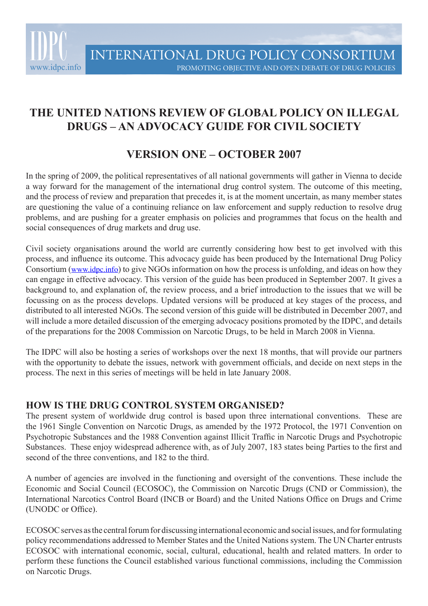

# **THE UNITED NATIONS REVIEW OF GLOBAL POLICY ON ILLEGAL DRUGS – AN ADVOCACY GUIDE FOR CIVIL SOCIETY**

## **VERSION ONE – OCTOBER 2007**

In the spring of 2009, the political representatives of all national governments will gather in Vienna to decide a way forward for the management of the international drug control system. The outcome of this meeting, and the process of review and preparation that precedes it, is at the moment uncertain, as many member states are questioning the value of a continuing reliance on law enforcement and supply reduction to resolve drug problems, and are pushing for a greater emphasis on policies and programmes that focus on the health and social consequences of drug markets and drug use.

Civil society organisations around the world are currently considering how best to get involved with this process, and influence its outcome. This advocacy guide has been produced by the International Drug Policy Consortium (www.idpc.info) to give NGOs information on how the process is unfolding, and ideas on how they can engage in effective advocacy. This version of the guide has been produced in September 2007. It gives a background to, and explanation of, the review process, and a brief introduction to the issues that we will be focussing on as the process develops. Updated versions will be produced at key stages of the process, and distributed to all interested NGOs. The second version of this guide will be distributed in December 2007, and will include a more detailed discussion of the emerging advocacy positions promoted by the IDPC, and details of the preparations for the 2008 Commission on Narcotic Drugs, to be held in March 2008 in Vienna.

The IDPC will also be hosting a series of workshops over the next 18 months, that will provide our partners with the opportunity to debate the issues, network with government officials, and decide on next steps in the process. The next in this series of meetings will be held in late January 2008.

## **HOW IS THE DRUG CONTROL SYSTEM ORGANISED?**

The present system of worldwide drug control is based upon three international conventions. These are the 1961 Single Convention on Narcotic Drugs, as amended by the 1972 Protocol, the 1971 Convention on Psychotropic Substances and the 1988 Convention against Illicit Traffic in Narcotic Drugs and Psychotropic Substances. These enjoy widespread adherence with, as of July 2007, 183 states being Parties to the first and second of the three conventions, and 182 to the third.

A number of agencies are involved in the functioning and oversight of the conventions. These include the Economic and Social Council (ECOSOC), the Commission on Narcotic Drugs (CND or Commission), the International Narcotics Control Board (INCB or Board) and the United Nations Office on Drugs and Crime (UNODC or Office).

ECOSOC serves as the central forum for discussing international economic and social issues, and for formulating policy recommendations addressed to Member States and the United Nations system. The UN Charter entrusts ECOSOC with international economic, social, cultural, educational, health and related matters. In order to perform these functions the Council established various functional commissions, including the Commission on Narcotic Drugs.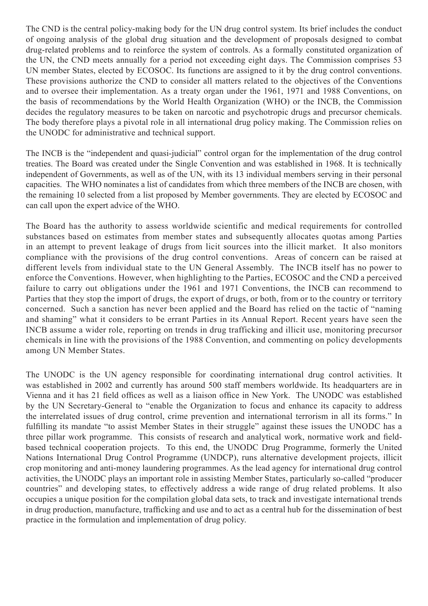The CND is the central policy-making body for the UN drug control system. Its brief includes the conduct of ongoing analysis of the global drug situation and the development of proposals designed to combat drug-related problems and to reinforce the system of controls. As a formally constituted organization of the UN, the CND meets annually for a period not exceeding eight days. The Commission comprises 53 UN member States, elected by ECOSOC. Its functions are assigned to it by the drug control conventions. These provisions authorize the CND to consider all matters related to the objectives of the Conventions and to oversee their implementation. As a treaty organ under the 1961, 1971 and 1988 Conventions, on the basis of recommendations by the World Health Organization (WHO) or the INCB, the Commission decides the regulatory measures to be taken on narcotic and psychotropic drugs and precursor chemicals. The body therefore plays a pivotal role in all international drug policy making. The Commission relies on the UNODC for administrative and technical support.

The INCB is the "independent and quasi-judicial" control organ for the implementation of the drug control treaties. The Board was created under the Single Convention and was established in 1968. It is technically independent of Governments, as well as of the UN, with its 13 individual members serving in their personal capacities. The WHO nominates a list of candidates from which three members of the INCB are chosen, with the remaining 10 selected from a list proposed by Member governments. They are elected by ECOSOC and can call upon the expert advice of the WHO.

The Board has the authority to assess worldwide scientific and medical requirements for controlled substances based on estimates from member states and subsequently allocates quotas among Parties in an attempt to prevent leakage of drugs from licit sources into the illicit market. It also monitors compliance with the provisions of the drug control conventions. Areas of concern can be raised at different levels from individual state to the UN General Assembly. The INCB itself has no power to enforce the Conventions. However, when highlighting to the Parties, ECOSOC and the CND a perceived failure to carry out obligations under the 1961 and 1971 Conventions, the INCB can recommend to Parties that they stop the import of drugs, the export of drugs, or both, from or to the country or territory concerned. Such a sanction has never been applied and the Board has relied on the tactic of "naming and shaming" what it considers to be errant Parties in its Annual Report. Recent years have seen the INCB assume a wider role, reporting on trends in drug trafficking and illicit use, monitoring precursor chemicals in line with the provisions of the 1988 Convention, and commenting on policy developments among UN Member States.

The UNODC is the UN agency responsible for coordinating international drug control activities. It was established in 2002 and currently has around 500 staff members worldwide. Its headquarters are in Vienna and it has 21 field offices as well as a liaison office in New York. The UNODC was established by the UN Secretary-General to "enable the Organization to focus and enhance its capacity to address the interrelated issues of drug control, crime prevention and international terrorism in all its forms." In fulfilling its mandate "to assist Member States in their struggle" against these issues the UNODC has a three pillar work programme. This consists of research and analytical work, normative work and fieldbased technical cooperation projects. To this end, the UNODC Drug Programme, formerly the United Nations International Drug Control Programme (UNDCP), runs alternative development projects, illicit crop monitoring and anti-money laundering programmes. As the lead agency for international drug control activities, the UNODC plays an important role in assisting Member States, particularly so-called "producer countries" and developing states, to effectively address a wide range of drug related problems. It also occupies a unique position for the compilation global data sets, to track and investigate international trends in drug production, manufacture, trafficking and use and to act as a central hub for the dissemination of best practice in the formulation and implementation of drug policy.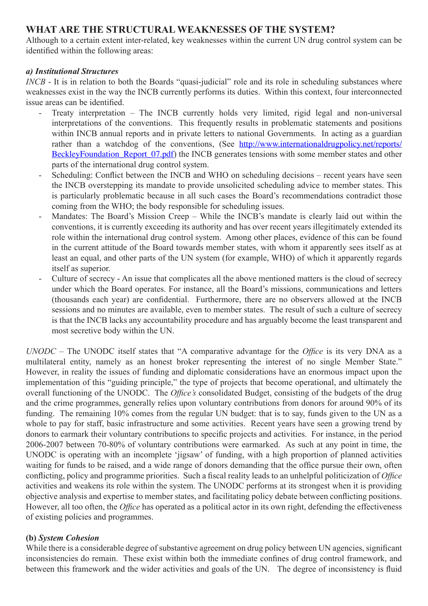## **WHAT ARE THE STRUCTURAL WEAKNESSES OF THE SYSTEM?**

Although to a certain extent inter-related, key weaknesses within the current UN drug control system can be identified within the following areas:

#### *a) Institutional Structures*

*INCB* - It is in relation to both the Boards "quasi-judicial" role and its role in scheduling substances where weaknesses exist in the way the INCB currently performs its duties. Within this context, four interconnected issue areas can be identified.

- Treaty interpretation The INCB currently holds very limited, rigid legal and non-universal interpretations of the conventions. This frequently results in problematic statements and positions within INCB annual reports and in private letters to national Governments. In acting as a guardian rather than a watchdog of the conventions, (See http://www.internationaldrugpolicy.net/reports/ BeckleyFoundation Report 07.pdf) the INCB generates tensions with some member states and other parts of the international drug control system.
- Scheduling: Conflict between the INCB and WHO on scheduling decisions recent years have seen the INCB overstepping its mandate to provide unsolicited scheduling advice to member states. This is particularly problematic because in all such cases the Board's recommendations contradict those coming from the WHO; the body responsible for scheduling issues.
- Mandates: The Board's Mission Creep While the INCB's mandate is clearly laid out within the conventions, it is currently exceeding its authority and has over recent years illegitimately extended its role within the international drug control system. Among other places, evidence of this can be found in the current attitude of the Board towards member states, with whom it apparently sees itself as at least an equal, and other parts of the UN system (for example, WHO) of which it apparently regards itself as superior.
- Culture of secrecy An issue that complicates all the above mentioned matters is the cloud of secrecy under which the Board operates. For instance, all the Board's missions, communications and letters (thousands each year) are confidential. Furthermore, there are no observers allowed at the INCB sessions and no minutes are available, even to member states. The result of such a culture of secrecy is that the INCB lacks any accountability procedure and has arguably become the least transparent and most secretive body within the UN.

*UNODC* – The UNODC itself states that "A comparative advantage for the *Office* is its very DNA as a multilateral entity, namely as an honest broker representing the interest of no single Member State." However, in reality the issues of funding and diplomatic considerations have an enormous impact upon the implementation of this "guiding principle," the type of projects that become operational, and ultimately the overall functioning of the UNODC. The *Office's* consolidated Budget, consisting of the budgets of the drug and the crime programmes, generally relies upon voluntary contributions from donors for around 90% of its funding. The remaining 10% comes from the regular UN budget: that is to say, funds given to the UN as a whole to pay for staff, basic infrastructure and some activities. Recent years have seen a growing trend by donors to earmark their voluntary contributions to specific projects and activities. For instance, in the period 2006-2007 between 70-80% of voluntary contributions were earmarked. As such at any point in time, the UNODC is operating with an incomplete 'jigsaw' of funding, with a high proportion of planned activities waiting for funds to be raised, and a wide range of donors demanding that the office pursue their own, often conflicting, policy and programme priorities. Such a fiscal reality leads to an unhelpful politicization of *Office* activities and weakens its role within the system. The UNODC performs at its strongest when it is providing objective analysis and expertise to member states, and facilitating policy debate between conflicting positions. However, all too often, the *Office* has operated as a political actor in its own right, defending the effectiveness of existing policies and programmes.

#### **(b)** *System Cohesion*

While there is a considerable degree of substantive agreement on drug policy between UN agencies, significant inconsistencies do remain. These exist within both the immediate confines of drug control framework, and between this framework and the wider activities and goals of the UN. The degree of inconsistency is fluid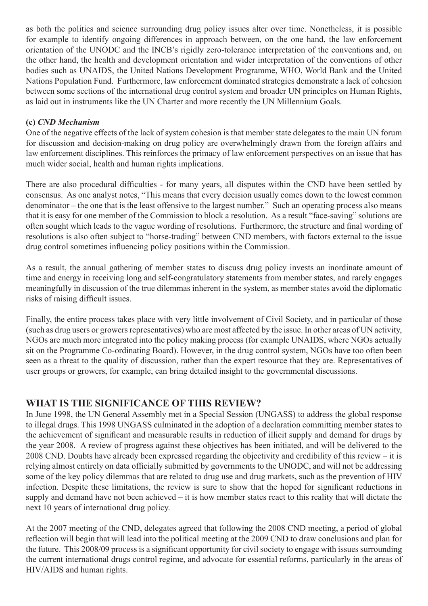as both the politics and science surrounding drug policy issues alter over time. Nonetheless, it is possible for example to identify ongoing differences in approach between, on the one hand, the law enforcement orientation of the UNODC and the INCB's rigidly zero-tolerance interpretation of the conventions and, on the other hand, the health and development orientation and wider interpretation of the conventions of other bodies such as UNAIDS, the United Nations Development Programme, WHO, World Bank and the United Nations Population Fund. Furthermore, law enforcement dominated strategies demonstrate a lack of cohesion between some sections of the international drug control system and broader UN principles on Human Rights, as laid out in instruments like the UN Charter and more recently the UN Millennium Goals.

#### **(c)** *CND Mechanism*

One of the negative effects of the lack of system cohesion is that member state delegates to the main UN forum for discussion and decision-making on drug policy are overwhelmingly drawn from the foreign affairs and law enforcement disciplines. This reinforces the primacy of law enforcement perspectives on an issue that has much wider social, health and human rights implications.

There are also procedural difficulties - for many years, all disputes within the CND have been settled by consensus. As one analyst notes, "This means that every decision usually comes down to the lowest common denominator – the one that is the least offensive to the largest number." Such an operating process also means that it is easy for one member of the Commission to block a resolution. As a result "face-saving" solutions are often sought which leads to the vague wording of resolutions. Furthermore, the structure and final wording of resolutions is also often subject to "horse-trading" between CND members, with factors external to the issue drug control sometimes influencing policy positions within the Commission.

As a result, the annual gathering of member states to discuss drug policy invests an inordinate amount of time and energy in receiving long and self-congratulatory statements from member states, and rarely engages meaningfully in discussion of the true dilemmas inherent in the system, as member states avoid the diplomatic risks of raising difficult issues.

Finally, the entire process takes place with very little involvement of Civil Society, and in particular of those (such as drug users or growers representatives) who are most affected by the issue. In other areas of UN activity, NGOs are much more integrated into the policy making process (for example UNAIDS, where NGOs actually sit on the Programme Co-ordinating Board). However, in the drug control system, NGOs have too often been seen as a threat to the quality of discussion, rather than the expert resource that they are. Representatives of user groups or growers, for example, can bring detailed insight to the governmental discussions.

## **WHAT IS THE SIGNIFICANCE OF THIS REVIEW?**

In June 1998, the UN General Assembly met in a Special Session (UNGASS) to address the global response to illegal drugs. This 1998 UNGASS culminated in the adoption of a declaration committing member states to the achievement of significant and measurable results in reduction of illicit supply and demand for drugs by the year 2008. A review of progress against these objectives has been initiated, and will be delivered to the 2008 CND. Doubts have already been expressed regarding the objectivity and credibility of this review – it is relying almost entirely on data officially submitted by governments to the UNODC, and will not be addressing some of the key policy dilemmas that are related to drug use and drug markets, such as the prevention of HIV infection. Despite these limitations, the review is sure to show that the hoped for significant reductions in supply and demand have not been achieved – it is how member states react to this reality that will dictate the next 10 years of international drug policy.

At the 2007 meeting of the CND, delegates agreed that following the 2008 CND meeting, a period of global reflection will begin that will lead into the political meeting at the 2009 CND to draw conclusions and plan for the future. This 2008/09 process is a significant opportunity for civil society to engage with issues surrounding the current international drugs control regime, and advocate for essential reforms, particularly in the areas of HIV/AIDS and human rights.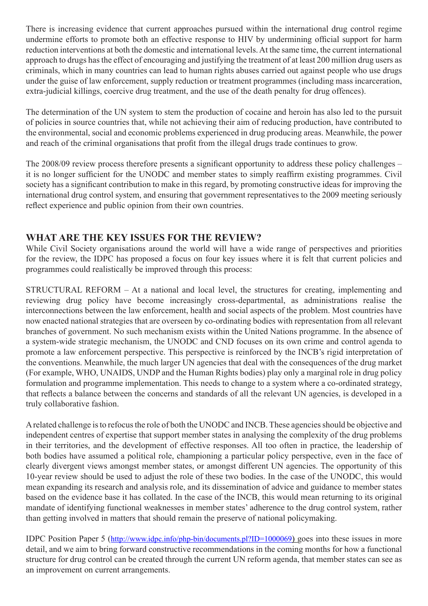There is increasing evidence that current approaches pursued within the international drug control regime undermine efforts to promote both an effective response to HIV by undermining official support for harm reduction interventions at both the domestic and international levels. At the same time, the current international approach to drugs has the effect of encouraging and justifying the treatment of at least 200 million drug users as criminals, which in many countries can lead to human rights abuses carried out against people who use drugs under the guise of law enforcement, supply reduction or treatment programmes (including mass incarceration, extra-judicial killings, coercive drug treatment, and the use of the death penalty for drug offences).

The determination of the UN system to stem the production of cocaine and heroin has also led to the pursuit of policies in source countries that, while not achieving their aim of reducing production, have contributed to the environmental, social and economic problems experienced in drug producing areas. Meanwhile, the power and reach of the criminal organisations that profit from the illegal drugs trade continues to grow.

The 2008/09 review process therefore presents a significant opportunity to address these policy challenges – it is no longer sufficient for the UNODC and member states to simply reaffirm existing programmes. Civil society has a significant contribution to make in this regard, by promoting constructive ideas for improving the international drug control system, and ensuring that government representatives to the 2009 meeting seriously reflect experience and public opinion from their own countries.

## **WHAT ARE THE KEY ISSUES FOR THE REVIEW?**

While Civil Society organisations around the world will have a wide range of perspectives and priorities for the review, the IDPC has proposed a focus on four key issues where it is felt that current policies and programmes could realistically be improved through this process:

STRUCTURAL REFORM – At a national and local level, the structures for creating, implementing and reviewing drug policy have become increasingly cross-departmental, as administrations realise the interconnections between the law enforcement, health and social aspects of the problem. Most countries have now enacted national strategies that are overseen by co-ordinating bodies with representation from all relevant branches of government. No such mechanism exists within the United Nations programme. In the absence of a system-wide strategic mechanism, the UNODC and CND focuses on its own crime and control agenda to promote a law enforcement perspective. This perspective is reinforced by the INCB's rigid interpretation of the conventions. Meanwhile, the much larger UN agencies that deal with the consequences of the drug market (For example, WHO, UNAIDS, UNDP and the Human Rights bodies) play only a marginal role in drug policy formulation and programme implementation. This needs to change to a system where a co-ordinated strategy, that reflects a balance between the concerns and standards of all the relevant UN agencies, is developed in a truly collaborative fashion.

A related challenge is to refocus the role of both the UNODC and INCB. These agencies should be objective and independent centres of expertise that support member states in analysing the complexity of the drug problems in their territories, and the development of effective responses. All too often in practice, the leadership of both bodies have assumed a political role, championing a particular policy perspective, even in the face of clearly divergent views amongst member states, or amongst different UN agencies. The opportunity of this 10-year review should be used to adjust the role of these two bodies. In the case of the UNODC, this would mean expanding its research and analysis role, and its dissemination of advice and guidance to member states based on the evidence base it has collated. In the case of the INCB, this would mean returning to its original mandate of identifying functional weaknesses in member states' adherence to the drug control system, rather than getting involved in matters that should remain the preserve of national policymaking.

IDPC Position Paper 5 (http://www.idpc.info/php-bin/documents.pl?ID=1000069) goes into these issues in more detail, and we aim to bring forward constructive recommendations in the coming months for how a functional structure for drug control can be created through the current UN reform agenda, that member states can see as an improvement on current arrangements.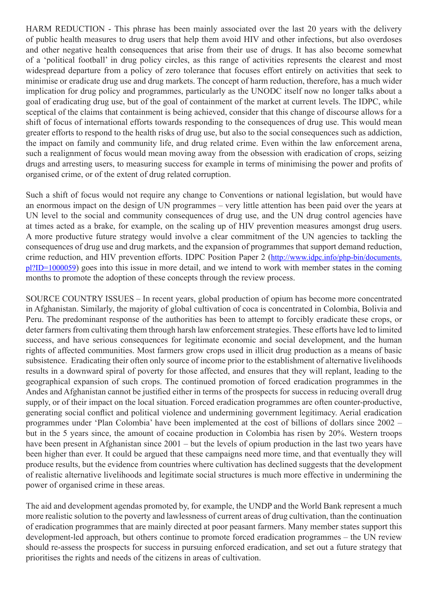HARM REDUCTION - This phrase has been mainly associated over the last 20 years with the delivery of public health measures to drug users that help them avoid HIV and other infections, but also overdoses and other negative health consequences that arise from their use of drugs. It has also become somewhat of a 'political football' in drug policy circles, as this range of activities represents the clearest and most widespread departure from a policy of zero tolerance that focuses effort entirely on activities that seek to minimise or eradicate drug use and drug markets. The concept of harm reduction, therefore, has a much wider implication for drug policy and programmes, particularly as the UNODC itself now no longer talks about a goal of eradicating drug use, but of the goal of containment of the market at current levels. The IDPC, while sceptical of the claims that containment is being achieved, consider that this change of discourse allows for a shift of focus of international efforts towards responding to the consequences of drug use. This would mean greater efforts to respond to the health risks of drug use, but also to the social consequences such as addiction, the impact on family and community life, and drug related crime. Even within the law enforcement arena, such a realignment of focus would mean moving away from the obsession with eradication of crops, seizing drugs and arresting users, to measuring success for example in terms of minimising the power and profits of organised crime, or of the extent of drug related corruption.

Such a shift of focus would not require any change to Conventions or national legislation, but would have an enormous impact on the design of UN programmes – very little attention has been paid over the years at UN level to the social and community consequences of drug use, and the UN drug control agencies have at times acted as a brake, for example, on the scaling up of HIV prevention measures amongst drug users. A more productive future strategy would involve a clear commitment of the UN agencies to tackling the consequences of drug use and drug markets, and the expansion of programmes that support demand reduction, crime reduction, and HIV prevention efforts. IDPC Position Paper 2 (http://www.idpc.info/php-bin/documents. pl?ID=1000059) goes into this issue in more detail, and we intend to work with member states in the coming months to promote the adoption of these concepts through the review process.

SOURCE COUNTRY ISSUES – In recent years, global production of opium has become more concentrated in Afghanistan. Similarly, the majority of global cultivation of coca is concentrated in Colombia, Bolivia and Peru. The predominant response of the authorities has been to attempt to forcibly eradicate these crops, or deter farmers from cultivating them through harsh law enforcement strategies. These efforts have led to limited success, and have serious consequences for legitimate economic and social development, and the human rights of affected communities. Most farmers grow crops used in illicit drug production as a means of basic subsistence. Eradicating their often only source of income prior to the establishment of alternative livelihoods results in a downward spiral of poverty for those affected, and ensures that they will replant, leading to the geographical expansion of such crops. The continued promotion of forced eradication programmes in the Andes and Afghanistan cannot be justified either in terms of the prospects for success in reducing overall drug supply, or of their impact on the local situation. Forced eradication programmes are often counter-productive, generating social conflict and political violence and undermining government legitimacy. Aerial eradication programmes under 'Plan Colombia' have been implemented at the cost of billions of dollars since 2002 – but in the 5 years since, the amount of cocaine production in Colombia has risen by 20%. Western troops have been present in Afghanistan since  $2001 -$  but the levels of opium production in the last two years have been higher than ever. It could be argued that these campaigns need more time, and that eventually they will produce results, but the evidence from countries where cultivation has declined suggests that the development of realistic alternative livelihoods and legitimate social structures is much more effective in undermining the power of organised crime in these areas.

The aid and development agendas promoted by, for example, the UNDP and the World Bank represent a much more realistic solution to the poverty and lawlessness of current areas of drug cultivation, than the continuation of eradication programmes that are mainly directed at poor peasant farmers. Many member states support this development-led approach, but others continue to promote forced eradication programmes – the UN review should re-assess the prospects for success in pursuing enforced eradication, and set out a future strategy that prioritises the rights and needs of the citizens in areas of cultivation.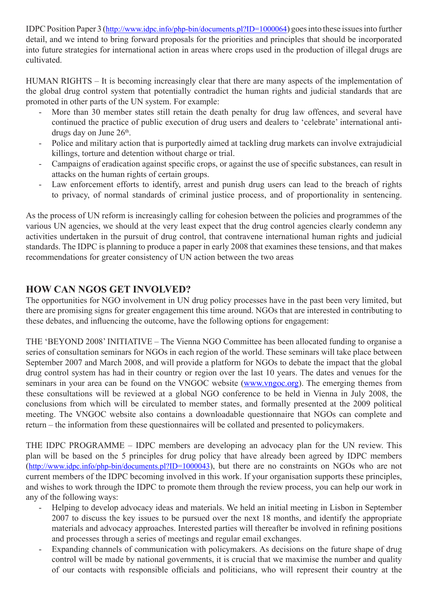IDPC Position Paper 3 (http://www.idpc.info/php-bin/documents.pl?ID=1000064) goes into these issues into further detail, and we intend to bring forward proposals for the priorities and principles that should be incorporated into future strategies for international action in areas where crops used in the production of illegal drugs are cultivated.

HUMAN RIGHTS – It is becoming increasingly clear that there are many aspects of the implementation of the global drug control system that potentially contradict the human rights and judicial standards that are promoted in other parts of the UN system. For example:

- More than 30 member states still retain the death penalty for drug law offences, and several have continued the practice of public execution of drug users and dealers to 'celebrate' international antidrugs day on June 26<sup>th</sup>.
- Police and military action that is purportedly aimed at tackling drug markets can involve extrajudicial killings, torture and detention without charge or trial.
- Campaigns of eradication against specific crops, or against the use of specific substances, can result in attacks on the human rights of certain groups.
- Law enforcement efforts to identify, arrest and punish drug users can lead to the breach of rights to privacy, of normal standards of criminal justice process, and of proportionality in sentencing.

As the process of UN reform is increasingly calling for cohesion between the policies and programmes of the various UN agencies, we should at the very least expect that the drug control agencies clearly condemn any activities undertaken in the pursuit of drug control, that contravene international human rights and judicial standards. The IDPC is planning to produce a paper in early 2008 that examines these tensions, and that makes recommendations for greater consistency of UN action between the two areas

## **HOW CAN NGOS GET INVOLVED?**

The opportunities for NGO involvement in UN drug policy processes have in the past been very limited, but there are promising signs for greater engagement this time around. NGOs that are interested in contributing to these debates, and influencing the outcome, have the following options for engagement:

THE 'BEYOND 2008' INITIATIVE – The Vienna NGO Committee has been allocated funding to organise a series of consultation seminars for NGOs in each region of the world. These seminars will take place between September 2007 and March 2008, and will provide a platform for NGOs to debate the impact that the global drug control system has had in their country or region over the last 10 years. The dates and venues for the seminars in your area can be found on the VNGOC website (www.vngoc.org). The emerging themes from these consultations will be reviewed at a global NGO conference to be held in Vienna in July 2008, the conclusions from which will be circulated to member states, and formally presented at the 2009 political meeting. The VNGOC website also contains a downloadable questionnaire that NGOs can complete and return – the information from these questionnaires will be collated and presented to policymakers.

THE IDPC PROGRAMME – IDPC members are developing an advocacy plan for the UN review. This plan will be based on the 5 principles for drug policy that have already been agreed by IDPC members (http://www.idpc.info/php-bin/documents.pl?ID=1000043), but there are no constraints on NGOs who are not current members of the IDPC becoming involved in this work. If your organisation supports these principles, and wishes to work through the IDPC to promote them through the review process, you can help our work in any of the following ways:

- Helping to develop advocacy ideas and materials. We held an initial meeting in Lisbon in September 2007 to discuss the key issues to be pursued over the next 18 months, and identify the appropriate materials and advocacy approaches. Interested parties will thereafter be involved in refining positions and processes through a series of meetings and regular email exchanges.
- Expanding channels of communication with policymakers. As decisions on the future shape of drug control will be made by national governments, it is crucial that we maximise the number and quality of our contacts with responsible officials and politicians, who will represent their country at the